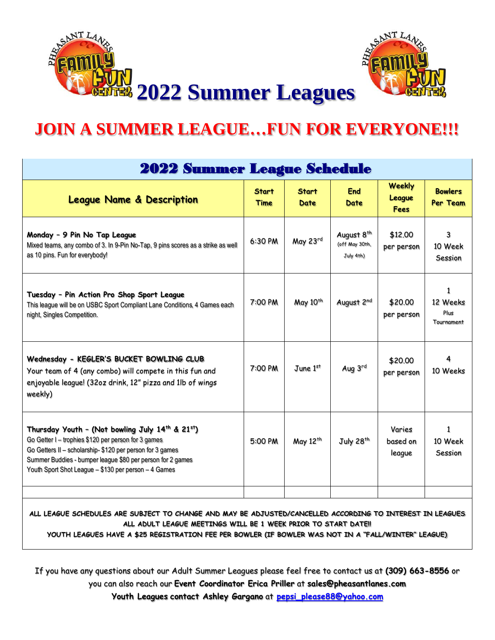



## **JOIN A SUMMER LEAGUE…FUN FOR EVERYONE!!!**

| <b>2022 Summer League Schedule</b>                                                                                                                                                                                                                                                                   |                             |                      |                                                       |                                               |                                     |  |  |
|------------------------------------------------------------------------------------------------------------------------------------------------------------------------------------------------------------------------------------------------------------------------------------------------------|-----------------------------|----------------------|-------------------------------------------------------|-----------------------------------------------|-------------------------------------|--|--|
| <b>League Name &amp; Description</b>                                                                                                                                                                                                                                                                 | <b>Start</b><br><b>Time</b> | <b>Start</b><br>Date | End<br>Date                                           | <b>Weekly</b><br><b>League</b><br><b>Fees</b> | <b>Bowlers</b><br>Per Team          |  |  |
| Monday - 9 Pin No Tap League<br>Mixed teams, any combo of 3. In 9-Pin No-Tap, 9 pins scores as a strike as well<br>as 10 pins. Fun for everybody!                                                                                                                                                    | 6:30 PM                     | May 23rd             | August 8 <sup>th</sup><br>(off May 30th,<br>July 4th) | \$12.00<br>per person                         | 3<br>10 Week<br>Session             |  |  |
| Tuesday - Pin Action Pro Shop Sport League<br>This league will be on USBC Sport Compliant Lane Conditions, 4 Games each<br>night, Singles Competition.                                                                                                                                               | 7:00 PM                     | May 10 <sup>th</sup> | August 2 <sup>nd</sup>                                | \$20.00<br>per person                         | 1<br>12 Weeks<br>Plus<br>Tournament |  |  |
| Wednesday - KEGLER'S BUCKET BOWLING CLUB<br>Your team of 4 (any combo) will compete in this fun and<br>enjoyable league! (32oz drink, 12" pizza and 1lb of wings<br>weekly)                                                                                                                          | 7:00 PM                     | June 1 <sup>st</sup> | Aug 3rd                                               | \$20.00<br>per person                         | 4<br>10 Weeks                       |  |  |
| Thursday Youth - (Not bowling July $14^{th}$ & $21^{st}$ )<br>Go Getter I - trophies \$120 per person for 3 games<br>Go Getters II - scholarship- \$120 per person for 3 games<br>Summer Buddies - bumper league \$80 per person for 2 games<br>Youth Sport Shot League - \$130 per person - 4 Games | 5:00 PM                     | May 12 <sup>th</sup> | July 28 <sup>th</sup>                                 | Varies<br>based on<br>league                  | 1<br>10 Week<br>Session             |  |  |
|                                                                                                                                                                                                                                                                                                      |                             |                      |                                                       |                                               |                                     |  |  |
| ALL LEAGUE SCHEDULES ARE SUBJECT TO CHANGE AND MAY BE ADJUSTED/CANCELLED ACCORDING TO INTEREST IN LEAGUES                                                                                                                                                                                            |                             |                      |                                                       |                                               |                                     |  |  |

**ALL ADULT LEAGUE MEETINGS WILL BE 1 WEEK PRIOR TO START DATE!!** 

**YOUTH LEAGUES HAVE A \$25 REGISTRATION FEE PER BOWLER (IF BOWLER WAS NOT IN A "FALL/WINTER" LEAGUE)**

If you have any questions about our Adult Summer Leagues please feel free to contact us at **(309) 663-8556** or

you can also reach our **Event Coordinator Erica Priller** at **sales@pheasantlanes.com**

**Youth Leagues contact Ashley Gargano** at **[pepsi\\_please88@yahoo.com](mailto:pepsi_please88@yahoo.com)**